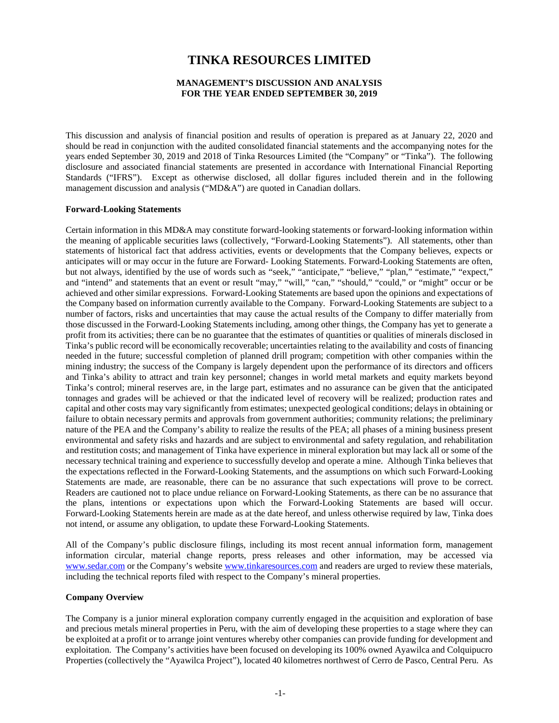# **TINKA RESOURCES LIMITED**

## **MANAGEMENT'S DISCUSSION AND ANALYSIS FOR THE YEAR ENDED SEPTEMBER 30, 2019**

This discussion and analysis of financial position and results of operation is prepared as at January 22, 2020 and should be read in conjunction with the audited consolidated financial statements and the accompanying notes for the years ended September 30, 2019 and 2018 of Tinka Resources Limited (the "Company" or "Tinka"). The following disclosure and associated financial statements are presented in accordance with International Financial Reporting Standards ("IFRS"). Except as otherwise disclosed, all dollar figures included therein and in the following management discussion and analysis ("MD&A") are quoted in Canadian dollars.

#### **Forward-Looking Statements**

Certain information in this MD&A may constitute forward-looking statements or forward-looking information within the meaning of applicable securities laws (collectively, "Forward-Looking Statements"). All statements, other than statements of historical fact that address activities, events or developments that the Company believes, expects or anticipates will or may occur in the future are Forward- Looking Statements. Forward-Looking Statements are often, but not always, identified by the use of words such as "seek," "anticipate," "believe," "plan," "estimate," "expect," and "intend" and statements that an event or result "may," "will," "can," "should," "could," or "might" occur or be achieved and other similar expressions. Forward-Looking Statements are based upon the opinions and expectations of the Company based on information currently available to the Company. Forward-Looking Statements are subject to a number of factors, risks and uncertainties that may cause the actual results of the Company to differ materially from those discussed in the Forward-Looking Statements including, among other things, the Company has yet to generate a profit from its activities; there can be no guarantee that the estimates of quantities or qualities of minerals disclosed in Tinka's public record will be economically recoverable; uncertainties relating to the availability and costs of financing needed in the future; successful completion of planned drill program; competition with other companies within the mining industry; the success of the Company is largely dependent upon the performance of its directors and officers and Tinka's ability to attract and train key personnel; changes in world metal markets and equity markets beyond Tinka's control; mineral reserves are, in the large part, estimates and no assurance can be given that the anticipated tonnages and grades will be achieved or that the indicated level of recovery will be realized; production rates and capital and other costs may vary significantly from estimates; unexpected geological conditions; delays in obtaining or failure to obtain necessary permits and approvals from government authorities; community relations; the preliminary nature of the PEA and the Company's ability to realize the results of the PEA; all phases of a mining business present environmental and safety risks and hazards and are subject to environmental and safety regulation, and rehabilitation and restitution costs; and management of Tinka have experience in mineral exploration but may lack all or some of the necessary technical training and experience to successfully develop and operate a mine. Although Tinka believes that the expectations reflected in the Forward-Looking Statements, and the assumptions on which such Forward-Looking Statements are made, are reasonable, there can be no assurance that such expectations will prove to be correct. Readers are cautioned not to place undue reliance on Forward-Looking Statements, as there can be no assurance that the plans, intentions or expectations upon which the Forward-Looking Statements are based will occur. Forward-Looking Statements herein are made as at the date hereof, and unless otherwise required by law, Tinka does not intend, or assume any obligation, to update these Forward-Looking Statements.

All of the Company's public disclosure filings, including its most recent annual information form, management information circular, material change reports, press releases and other information, may be accessed via [www.sedar.com](http://www.sedar.com/) or the Company's website [www.tinkaresources.com](http://www.tinkaresources.com/) and readers are urged to review these materials, including the technical reports filed with respect to the Company's mineral properties.

#### **Company Overview**

The Company is a junior mineral exploration company currently engaged in the acquisition and exploration of base and precious metals mineral properties in Peru, with the aim of developing these properties to a stage where they can be exploited at a profit or to arrange joint ventures whereby other companies can provide funding for development and exploitation. The Company's activities have been focused on developing its 100% owned Ayawilca and Colquipucro Properties (collectively the "Ayawilca Project"), located 40 kilometres northwest of Cerro de Pasco, Central Peru. As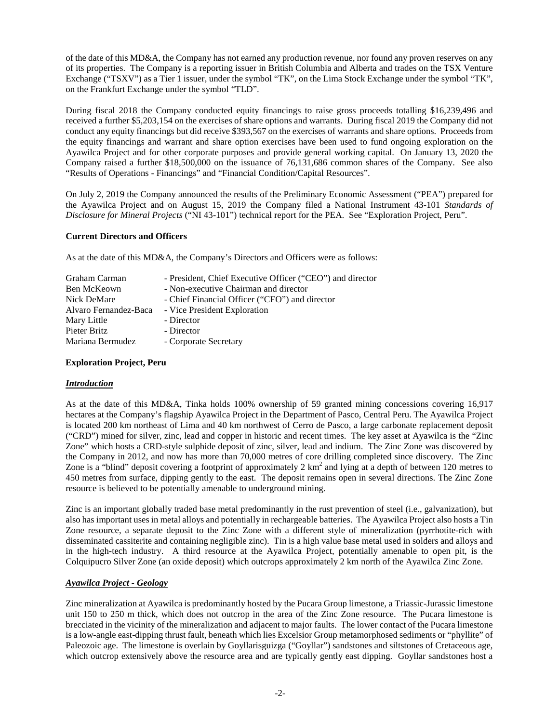of the date of this MD&A, the Company has not earned any production revenue, nor found any proven reserves on any of its properties. The Company is a reporting issuer in British Columbia and Alberta and trades on the TSX Venture Exchange ("TSXV") as a Tier 1 issuer, under the symbol "TK", on the Lima Stock Exchange under the symbol "TK", on the Frankfurt Exchange under the symbol "TLD".

During fiscal 2018 the Company conducted equity financings to raise gross proceeds totalling \$16,239,496 and received a further \$5,203,154 on the exercises of share options and warrants. During fiscal 2019 the Company did not conduct any equity financings but did receive \$393,567 on the exercises of warrants and share options. Proceeds from the equity financings and warrant and share option exercises have been used to fund ongoing exploration on the Ayawilca Project and for other corporate purposes and provide general working capital. On January 13, 2020 the Company raised a further \$18,500,000 on the issuance of 76,131,686 common shares of the Company. See also "Results of Operations - Financings" and "Financial Condition/Capital Resources".

On July 2, 2019 the Company announced the results of the Preliminary Economic Assessment ("PEA") prepared for the Ayawilca Project and on August 15, 2019 the Company filed a National Instrument 43-101 *Standards of Disclosure for Mineral Projects* ("NI 43-101") technical report for the PEA. See "Exploration Project, Peru".

## **Current Directors and Officers**

As at the date of this MD&A, the Company's Directors and Officers were as follows:

| Graham Carman         | - President, Chief Executive Officer ("CEO") and director |
|-----------------------|-----------------------------------------------------------|
| Ben McKeown           | - Non-executive Chairman and director                     |
| Nick DeMare           | - Chief Financial Officer ("CFO") and director            |
| Alvaro Fernandez-Baca | - Vice President Exploration                              |
| Mary Little           | - Director                                                |
| Pieter Britz          | - Director                                                |
| Mariana Bermudez      | - Corporate Secretary                                     |

## **Exploration Project, Peru**

## *Introduction*

As at the date of this MD&A, Tinka holds 100% ownership of 59 granted mining concessions covering 16,917 hectares at the Company's flagship Ayawilca Project in the Department of Pasco, Central Peru. The Ayawilca Project is located 200 km northeast of Lima and 40 km northwest of Cerro de Pasco, a large carbonate replacement deposit ("CRD") mined for silver, zinc, lead and copper in historic and recent times. The key asset at Ayawilca is the "Zinc Zone" which hosts a CRD-style sulphide deposit of zinc, silver, lead and indium. The Zinc Zone was discovered by the Company in 2012, and now has more than 70,000 metres of core drilling completed since discovery. The Zinc Zone is a "blind" deposit covering a footprint of approximately 2  $km^2$  and lying at a depth of between 120 metres to 450 metres from surface, dipping gently to the east. The deposit remains open in several directions. The Zinc Zone resource is believed to be potentially amenable to underground mining.

Zinc is an important globally traded base metal predominantly in the rust prevention of steel (i.e., galvanization), but also has important uses in metal alloys and potentially in rechargeable batteries. The Ayawilca Project also hosts a Tin Zone resource, a separate deposit to the Zinc Zone with a different style of mineralization (pyrrhotite-rich with disseminated cassiterite and containing negligible zinc). Tin is a high value base metal used in solders and alloys and in the high-tech industry. A third resource at the Ayawilca Project, potentially amenable to open pit, is the Colquipucro Silver Zone (an oxide deposit) which outcrops approximately 2 km north of the Ayawilca Zinc Zone.

## *Ayawilca Project - Geology*

Zinc mineralization at Ayawilca is predominantly hosted by the Pucara Group limestone, a Triassic-Jurassic limestone unit 150 to 250 m thick, which does not outcrop in the area of the Zinc Zone resource. The Pucara limestone is brecciated in the vicinity of the mineralization and adjacent to major faults. The lower contact of the Pucara limestone is a low-angle east-dipping thrust fault, beneath which lies Excelsior Group metamorphosed sediments or "phyllite" of Paleozoic age. The limestone is overlain by Goyllarisguizga ("Goyllar") sandstones and siltstones of Cretaceous age, which outcrop extensively above the resource area and are typically gently east dipping. Goyllar sandstones host a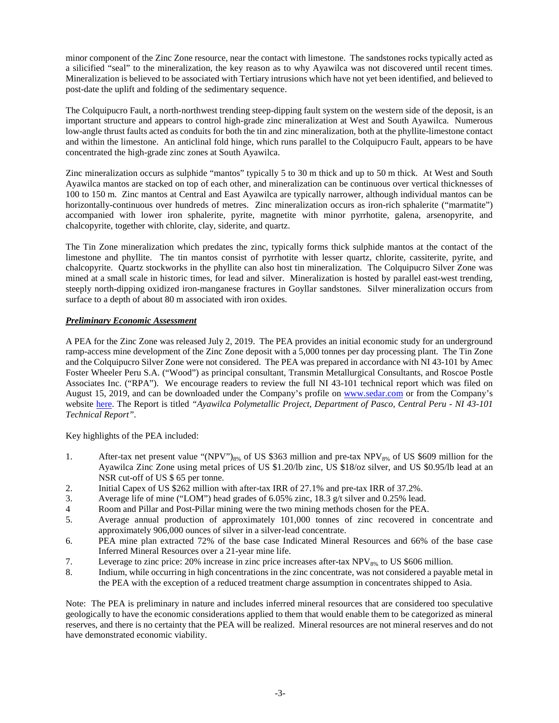minor component of the Zinc Zone resource, near the contact with limestone. The sandstones rocks typically acted as a silicified "seal" to the mineralization, the key reason as to why Ayawilca was not discovered until recent times. Mineralization is believed to be associated with Tertiary intrusions which have not yet been identified, and believed to post-date the uplift and folding of the sedimentary sequence.

The Colquipucro Fault, a north-northwest trending steep-dipping fault system on the western side of the deposit, is an important structure and appears to control high-grade zinc mineralization at West and South Ayawilca. Numerous low-angle thrust faults acted as conduits for both the tin and zinc mineralization, both at the phyllite-limestone contact and within the limestone. An anticlinal fold hinge, which runs parallel to the Colquipucro Fault, appears to be have concentrated the high-grade zinc zones at South Ayawilca.

Zinc mineralization occurs as sulphide "mantos" typically 5 to 30 m thick and up to 50 m thick. At West and South Ayawilca mantos are stacked on top of each other, and mineralization can be continuous over vertical thicknesses of 100 to 150 m. Zinc mantos at Central and East Ayawilca are typically narrower, although individual mantos can be horizontally-continuous over hundreds of metres. Zinc mineralization occurs as iron-rich sphalerite ("marmatite") accompanied with lower iron sphalerite, pyrite, magnetite with minor pyrrhotite, galena, arsenopyrite, and chalcopyrite, together with chlorite, clay, siderite, and quartz.

The Tin Zone mineralization which predates the zinc, typically forms thick sulphide mantos at the contact of the limestone and phyllite. The tin mantos consist of pyrrhotite with lesser quartz, chlorite, cassiterite, pyrite, and chalcopyrite. Quartz stockworks in the phyllite can also host tin mineralization. The Colquipucro Silver Zone was mined at a small scale in historic times, for lead and silver. Mineralization is hosted by parallel east-west trending, steeply north-dipping oxidized iron-manganese fractures in Goyllar sandstones. Silver mineralization occurs from surface to a depth of about 80 m associated with iron oxides.

# *Preliminary Economic Assessment*

A PEA for the Zinc Zone was released July 2, 2019. The PEA provides an initial economic study for an underground ramp-access mine development of the Zinc Zone deposit with a 5,000 tonnes per day processing plant. The Tin Zone and the Colquipucro Silver Zone were not considered. The PEA was prepared in accordance with NI 43-101 by Amec Foster Wheeler Peru S.A. ("Wood") as principal consultant, Transmin Metallurgical Consultants, and Roscoe Postle Associates Inc. ("RPA"). We encourage readers to review the full NI 43-101 technical report which was filed on August 15, 2019, and can be downloaded under the Company's profile on [www.sedar.com](http://www.sedar.com/) or from the Company's website [here.](https://www.tinkaresources.com/assets/docs/reports/Tinka%20Ayawilca%20TR%20Final.pdf) The Report is titled *"Ayawilca Polymetallic Project, Department of Pasco, Central Peru - NI 43-101 Technical Report"*.

Key highlights of the PEA included:

- 1. After-tax net present value "(NPV") $_{8\%}$  of US \$363 million and pre-tax NPV $_{8\%}$  of US \$609 million for the Ayawilca Zinc Zone using metal prices of US \$1.20/lb zinc, US \$18/oz silver, and US \$0.95/lb lead at an NSR cut-off of US \$ 65 per tonne.
- 2. Initial Capex of US \$262 million with after-tax IRR of 27.1% and pre-tax IRR of 37.2%.
- 3. Average life of mine ("LOM") head grades of 6.05% zinc, 18.3 g/t silver and 0.25% lead.
- 4 Room and Pillar and Post-Pillar mining were the two mining methods chosen for the PEA.<br>5. Average annual production of approximately 101.000 tonnes of zinc recovered in
- 5. Average annual production of approximately 101,000 tonnes of zinc recovered in concentrate and approximately 906,000 ounces of silver in a silver-lead concentrate.
- 6. PEA mine plan extracted 72% of the base case Indicated Mineral Resources and 66% of the base case Inferred Mineral Resources over a 21-year mine life.
- 7. Leverage to zinc price:  $20\%$  increase in zinc price increases after-tax NPV $_{8\%}$  to US \$606 million.<br>8. Indium, while occurring in high concentrations in the zinc concentrate, was not considered a payab
- Indium, while occurring in high concentrations in the zinc concentrate, was not considered a payable metal in the PEA with the exception of a reduced treatment charge assumption in concentrates shipped to Asia.

Note: The PEA is preliminary in nature and includes inferred mineral resources that are considered too speculative geologically to have the economic considerations applied to them that would enable them to be categorized as mineral reserves, and there is no certainty that the PEA will be realized. Mineral resources are not mineral reserves and do not have demonstrated economic viability.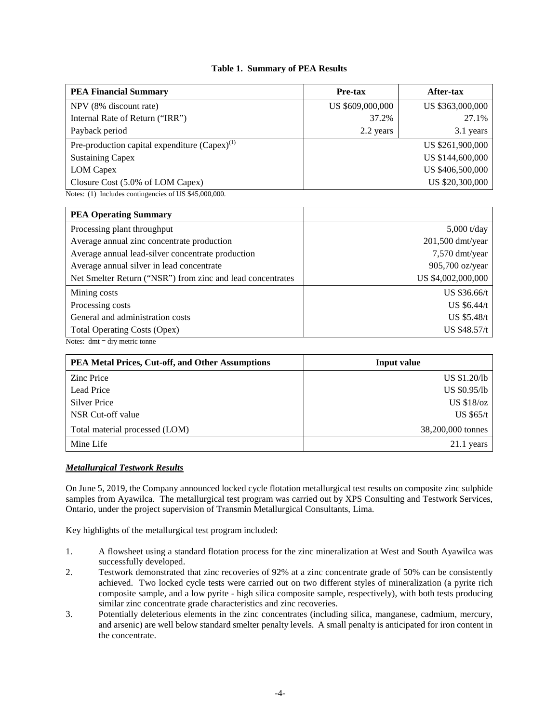# **Table 1. Summary of PEA Results**

| <b>PEA Financial Summary</b>                          | Pre-tax          | After-tax        |
|-------------------------------------------------------|------------------|------------------|
| NPV (8% discount rate)                                | US \$609,000,000 | US \$363,000,000 |
| Internal Rate of Return ("IRR")                       | 37.2%            | 27.1%            |
| Payback period                                        | 2.2 years        | 3.1 years        |
| Pre-production capital expenditure $(Capex)^{(1)}$    |                  | US \$261,900,000 |
| <b>Sustaining Capex</b>                               |                  | US \$144,600,000 |
| <b>LOM</b> Capex                                      |                  | US \$406,500,000 |
| Closure Cost (5.0% of LOM Capex)                      |                  | US \$20,300,000  |
| Notes: (1) Includes contingencies of US \$45,000,000. |                  |                  |

**PEA Operating Summary** Processing plant throughput Average annual zinc concentrate production Average annual lead-silver concentrate production Average annual silver in lead concentrate Net Smelter Return ("NSR") from zinc and lead concentrates 201,500 dmt/year 7,570 dmt/year 905,700 oz/year Mining costs Processing costs

| Net Smelter Return ("NSR") from zinc and lead concentrates | US \$4,002,000,000 |
|------------------------------------------------------------|--------------------|
| Mining costs                                               | US \$36.66/t       |
| Processing costs                                           | US \$6.44/t        |
| General and administration costs                           | US \$5.48/t        |
| Total Operating Costs (Opex)                               | US \$48.57/t       |
|                                                            |                    |

5,000 t/day

Notes: dmt = dry metric tonne

| PEA Metal Prices, Cut-off, and Other Assumptions | <b>Input value</b>  |
|--------------------------------------------------|---------------------|
| <b>Zinc Price</b>                                | US \$1.20/lb        |
| Lead Price                                       | <b>US \$0.95/lb</b> |
| <b>Silver Price</b>                              | <b>US \$18/oz</b>   |
| NSR Cut-off value                                | <b>US \$65/t</b>    |
| Total material processed (LOM)                   | 38,200,000 tonnes   |
| Mine Life                                        | $21.1$ years        |

## *Metallurgical Testwork Results*

On June 5, 2019, the Company announced locked cycle flotation metallurgical test results on composite zinc sulphide samples from Ayawilca. The metallurgical test program was carried out by XPS Consulting and Testwork Services, Ontario, under the project supervision of Transmin Metallurgical Consultants, Lima.

Key highlights of the metallurgical test program included:

- 1. A flowsheet using a standard flotation process for the zinc mineralization at West and South Ayawilca was successfully developed.
- 2. Testwork demonstrated that zinc recoveries of 92% at a zinc concentrate grade of 50% can be consistently achieved. Two locked cycle tests were carried out on two different styles of mineralization (a pyrite rich composite sample, and a low pyrite - high silica composite sample, respectively), with both tests producing similar zinc concentrate grade characteristics and zinc recoveries.
- 3. Potentially deleterious elements in the zinc concentrates (including silica, manganese, cadmium, mercury, and arsenic) are well below standard smelter penalty levels. A small penalty is anticipated for iron content in the concentrate.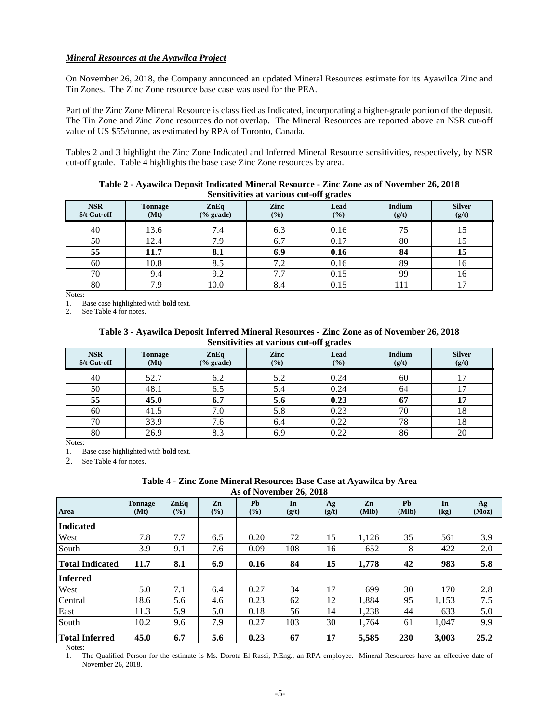## *Mineral Resources at the Ayawilca Project*

On November 26, 2018, the Company announced an updated Mineral Resources estimate for its Ayawilca Zinc and Tin Zones. The Zinc Zone resource base case was used for the PEA.

Part of the Zinc Zone Mineral Resource is classified as Indicated, incorporating a higher-grade portion of the deposit. The Tin Zone and Zinc Zone resources do not overlap. The Mineral Resources are reported above an NSR cut-off value of US \$55/tonne, as estimated by RPA of Toronto, Canada.

Tables 2 and 3 highlight the Zinc Zone Indicated and Inferred Mineral Resource sensitivities, respectively, by NSR cut-off grade. Table 4 highlights the base case Zinc Zone resources by area.

| $\alpha$                   |                        |                      |                |                |                        |                        |  |  |  |  |
|----------------------------|------------------------|----------------------|----------------|----------------|------------------------|------------------------|--|--|--|--|
| <b>NSR</b><br>\$/t Cut-off | <b>Tonnage</b><br>(Mt) | ZnEq<br>$(\%$ grade) | Zinc<br>$($ %) | Lead<br>$(\%)$ | <b>Indium</b><br>(g/t) | <b>Silver</b><br>(g/t) |  |  |  |  |
| 40                         | 13.6                   | 7.4                  | 6.3            | 0.16           | 75                     |                        |  |  |  |  |
| 50                         | 12.4                   | 7.9                  | 6.7            | 0.17           | 80                     |                        |  |  |  |  |
| 55                         | 11.7                   | 8.1                  | 6.9            | 0.16           | 84                     | 15                     |  |  |  |  |
| 60                         | 10.8                   | 8.5                  | 7.2            | 0.16           | 89                     | 16                     |  |  |  |  |
| 70                         | 9.4                    | 9.2                  | 7.7            | 0.15           | 99                     | 16                     |  |  |  |  |
| 80                         | 7.9                    | 10.0                 | 8.4            | 0.15           |                        |                        |  |  |  |  |

**Table 2 - Ayawilca Deposit Indicated Mineral Resource - Zinc Zone as of November 26, 2018 Sensitivities at various cut-off grades**

Notes:

1. Base case highlighted with **bold** text.<br>2. See Table 4 for notes.

See Table 4 for notes.

## **Table 3 - Ayawilca Deposit Inferred Mineral Resources - Zinc Zone as of November 26, 2018 Sensitivities at various cut-off grades**

| <b>NSR</b><br>\$/t Cut-off | <b>Tonnage</b><br>(Mt) | ZnEq<br>$(\%$ grade) | Zinc<br>$(\%)$ | $\sim$<br>Lead<br>$(\%)$ | Indium<br>(g/t) | <b>Silver</b><br>(g/t) |
|----------------------------|------------------------|----------------------|----------------|--------------------------|-----------------|------------------------|
| 40                         | 52.7                   | 6.2                  | 5.2            | 0.24                     | 60              | $\sqrt{7}$             |
| 50                         | 48.1                   | 6.5                  | 5.4            | 0.24                     | 64              |                        |
| 55                         | 45.0                   | $\mathbf{0}$ .       | 5.6            | 0.23                     | 07              | דו                     |
| 60                         | 41.5                   | 7.0                  | 5.8            | 0.23                     | 70              | 18                     |
| 70                         | 33.9                   | 7.6                  | 6.4            | 0.22                     | 78              | 18                     |
| 80                         | 26.9                   | 8.3                  | 6.9            | 0.22                     | 86              | 20                     |

Notes:

1. Base case highlighted with **bold** text.

2. See Table 4 for notes.

| Table 4 - Zinc Zone Mineral Resources Base Case at Ayawilca by Area |  |
|---------------------------------------------------------------------|--|
| As of November 26, 2018                                             |  |

| Area                   | <b>Tonnage</b><br>(Mt) | ZnEq<br>$($ %) | Zn<br>$(\%)$ | <b>Pb</b><br>$(\%)$ | In<br>(g/t) | Ag<br>(g/t) | Zn<br>(Mlb) | Pb<br>(Mlb) | In<br>(kg) | Ag<br>(Moz) |
|------------------------|------------------------|----------------|--------------|---------------------|-------------|-------------|-------------|-------------|------------|-------------|
| <b>Indicated</b>       |                        |                |              |                     |             |             |             |             |            |             |
| West                   | 7.8                    | 7.7            | 6.5          | 0.20                | 72          | 15          | 1,126       | 35          | 561        | 3.9         |
| South                  | 3.9                    | 9.1            | 7.6          | 0.09                | 108         | 16          | 652         | 8           | 422        | 2.0         |
| <b>Total Indicated</b> | 11.7                   | 8.1            | 6.9          | 0.16                | 84          | 15          | 1,778       | 42          | 983        | 5.8         |
| <b>Inferred</b>        |                        |                |              |                     |             |             |             |             |            |             |
| West                   | 5.0                    | 7.1            | 6.4          | 0.27                | 34          | 17          | 699         | 30          | 170        | 2.8         |
| Central                | 18.6                   | 5.6            | 4.6          | 0.23                | 62          | 12          | 1,884       | 95          | 1,153      | 7.5         |
| East                   | 11.3                   | 5.9            | 5.0          | 0.18                | 56          | 14          | 1,238       | 44          | 633        | 5.0         |
| South                  | 10.2                   | 9.6            | 7.9          | 0.27                | 103         | 30          | 1,764       | 61          | 1,047      | 9.9         |
| <b>Total Inferred</b>  | 45.0                   | 6.7            | 5.6          | 0.23                | 67          | 17          | 5,585       | 230         | 3.003      | 25.2        |

Notes:

1. The Qualified Person for the estimate is Ms. Dorota El Rassi, P.Eng., an RPA employee. Mineral Resources have an effective date of November 26, 2018.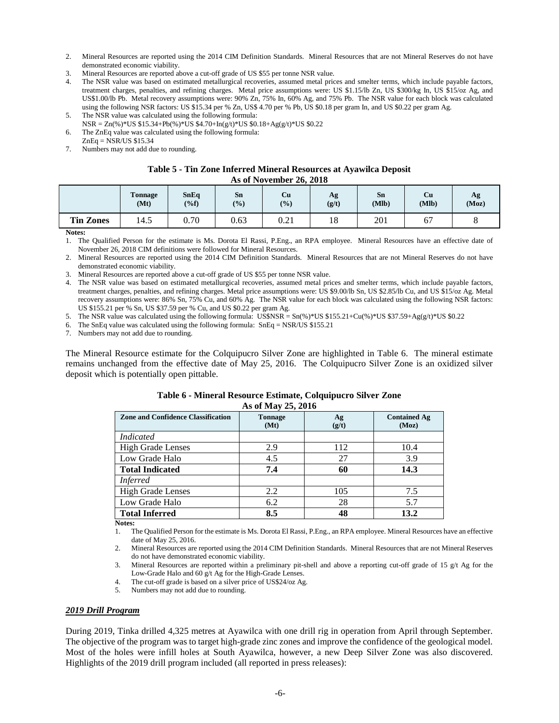- 2. Mineral Resources are reported using the 2014 CIM Definition Standards. Mineral Resources that are not Mineral Reserves do not have demonstrated economic viability.
- 3. Mineral Resources are reported above a cut-off grade of US \$55 per tonne NSR value.
- 4. The NSR value was based on estimated metallurgical recoveries, assumed metal prices and smelter terms, which include payable factors, treatment charges, penalties, and refining charges. Metal price assumptions were: US \$1.15/lb Zn, US \$300/kg In, US \$15/oz Ag, and US\$1.00/lb Pb. Metal recovery assumptions were: 90% Zn, 75% In, 60% Ag, and 75% Pb. The NSR value for each block was calculated using the following NSR factors: US \$15.34 per % Zn, US\$ 4.70 per % Pb, US \$0.18 per gram In, and US \$0.22 per gram Ag.
- 5. The NSR value was calculated using the following formula:
- $NSR = Zn\%$ <sup>\*</sup>US \$15.34+Pb(%)\*US \$4.70+In(g/t)\*US \$0.18+Ag(g/t)\*US \$0.22
- 6. The ZnEq value was calculated using the following formula:
- $ZnEq = \overline{NSR}/US$  \$15.34
- 7. Numbers may not add due to rounding.

#### **Table 5 - Tin Zone Inferred Mineral Resources at Ayawilca Deposit As of November 26, 2018**

|                  | <b>Tonnage</b> | <b>SnEq</b> | Sn    | Сu    | Ag             | Sn    | Сu    | Ag    |
|------------------|----------------|-------------|-------|-------|----------------|-------|-------|-------|
|                  | (Mt)           | $(\%f)$     | (9/0) | (9/0) | (g/t)          | (M1b) | (Mlb) | (Moz) |
| <b>Tin Zones</b> | 14.5           | 0.70        | 0.63  | 0.21  | $\Omega$<br>10 | 201   | 67    |       |

**Notes:**

1. The Qualified Person for the estimate is Ms. Dorota El Rassi, P.Eng., an RPA employee. Mineral Resources have an effective date of November 26, 2018 CIM definitions were followed for Mineral Resources.

2. Mineral Resources are reported using the 2014 CIM Definition Standards. Mineral Resources that are not Mineral Reserves do not have demonstrated economic viability.

3. Mineral Resources are reported above a cut-off grade of US \$55 per tonne NSR value.

4. The NSR value was based on estimated metallurgical recoveries, assumed metal prices and smelter terms, which include payable factors, treatment charges, penalties, and refining charges. Metal price assumptions were: US \$9.00/lb Sn, US \$2.85/lb Cu, and US \$15/oz Ag. Metal recovery assumptions were: 86% Sn, 75% Cu, and 60% Ag. The NSR value for each block was calculated using the following NSR factors: US \$155.21 per % Sn, US \$37.59 per % Cu, and US \$0.22 per gram Ag.

5. The NSR value was calculated using the following formula:  $USSNSR = Sn(\%)^*US $155.21+Cu(\%)^*US $37.59+Ag(g/t)*US $0.22$ 

6. The SnEq value was calculated using the following formula: SnEq = NSR/US \$155.21

7. Numbers may not add due to rounding.

The Mineral Resource estimate for the Colquipucro Silver Zone are highlighted in Table 6. The mineral estimate remains unchanged from the effective date of May 25, 2016. The Colquipucro Silver Zone is an oxidized silver deposit which is potentially open pittable.

| As of May 25, 2016                        |                 |             |                              |  |  |  |  |  |
|-------------------------------------------|-----------------|-------------|------------------------------|--|--|--|--|--|
| <b>Zone and Confidence Classification</b> | Tonnage<br>(Mt) | Ag<br>(g/t) | <b>Contained Ag</b><br>(Moz) |  |  |  |  |  |
| <i>Indicated</i>                          |                 |             |                              |  |  |  |  |  |
| <b>High Grade Lenses</b>                  | 2.9             | 112         | 10.4                         |  |  |  |  |  |
| Low Grade Halo                            | 4.5             | 27          | 3.9                          |  |  |  |  |  |
| <b>Total Indicated</b>                    | 7.4             | 60          | 14.3                         |  |  |  |  |  |
| <i>Inferred</i>                           |                 |             |                              |  |  |  |  |  |
| <b>High Grade Lenses</b>                  | 2.2             | 105         | 7.5                          |  |  |  |  |  |
| Low Grade Halo                            | 6.2             | 28          | 5.7                          |  |  |  |  |  |
| <b>Total Inferred</b>                     | 8.5             | 48          | 13.2                         |  |  |  |  |  |

## **Table 6 - Mineral Resource Estimate, Colquipucro Silver Zone As of May 25, 2016**

**Notes:**

1. The Qualified Person for the estimate is Ms. Dorota El Rassi, P.Eng., an RPA employee. Mineral Resources have an effective date of May 25, 2016.

2. Mineral Resources are reported using the 2014 CIM Definition Standards. Mineral Resources that are not Mineral Reserves do not have demonstrated economic viability.

3. Mineral Resources are reported within a preliminary pit-shell and above a reporting cut-off grade of 15  $g/t$  Ag for the Low-Grade Halo and 60 g/t Ag for the High-Grade Lenses.

4. The cut-off grade is based on a silver price of US\$24/oz Ag.

5. Numbers may not add due to rounding.

#### *2019 Drill Program*

During 2019, Tinka drilled 4,325 metres at Ayawilca with one drill rig in operation from April through September. The objective of the program was to target high-grade zinc zones and improve the confidence of the geological model. Most of the holes were infill holes at South Ayawilca, however, a new Deep Silver Zone was also discovered. Highlights of the 2019 drill program included (all reported in press releases):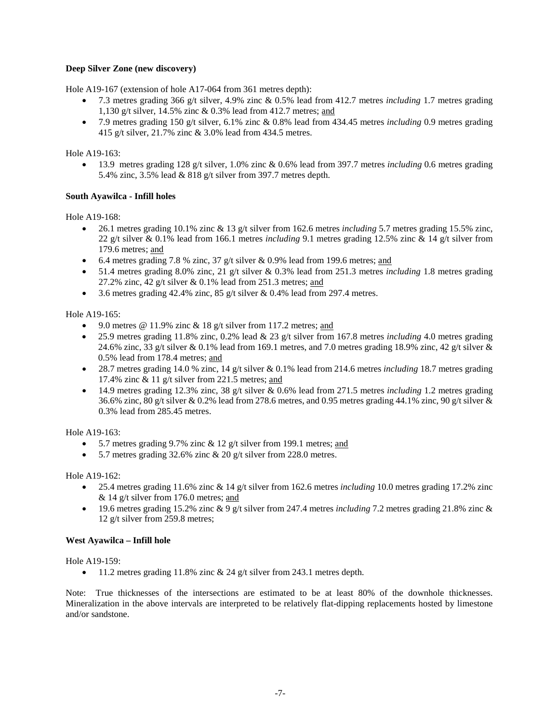# **Deep Silver Zone (new discovery)**

Hole A19-167 (extension of hole A17-064 from 361 metres depth):

- 7.3 metres grading 366 g/t silver, 4.9% zinc & 0.5% lead from 412.7 metres *including* 1.7 metres grading 1,130 g/t silver, 14.5% zinc & 0.3% lead from 412.7 metres; and
- 7.9 metres grading 150 g/t silver, 6.1% zinc & 0.8% lead from 434.45 metres *including* 0.9 metres grading 415 g/t silver, 21.7% zinc & 3.0% lead from 434.5 metres.

Hole A19-163:

• 13.9 metres grading 128 g/t silver, 1.0% zinc & 0.6% lead from 397.7 metres *including* 0.6 metres grading 5.4% zinc, 3.5% lead & 818 g/t silver from 397.7 metres depth.

## **South Ayawilca - Infill holes**

Hole A19-168:

- 26.1 metres grading 10.1% zinc & 13 g/t silver from 162.6 metres *including* 5.7 metres grading 15.5% zinc, 22 g/t silver & 0.1% lead from 166.1 metres *including* 9.1 metres grading 12.5% zinc & 14 g/t silver from 179.6 metres; and
- 6.4 metres grading 7.8 % zinc, 37 g/t silver  $& 0.9\%$  lead from 199.6 metres; and
- 51.4 metres grading 8.0% zinc, 21 g/t silver & 0.3% lead from 251.3 metres *including* 1.8 metres grading 27.2% zinc, 42 g/t silver & 0.1% lead from 251.3 metres; and
- 3.6 metres grading 42.4% zinc,  $85$  g/t silver & 0.4% lead from 297.4 metres.

Hole A19-165:

- 9.0 metres  $@ 11.9\%$  zinc  $& 18$  g/t silver from 117.2 metres; and
- 25.9 metres grading 11.8% zinc, 0.2% lead & 23 g/t silver from 167.8 metres *including* 4.0 metres grading 24.6% zinc, 33 g/t silver & 0.1% lead from 169.1 metres, and 7.0 metres grading 18.9% zinc, 42 g/t silver & 0.5% lead from 178.4 metres; and
- 28.7 metres grading 14.0 % zinc, 14 g/t silver & 0.1% lead from 214.6 metres *including* 18.7 metres grading 17.4% zinc  $\&$  11 g/t silver from 221.5 metres; and
- 14.9 metres grading 12.3% zinc, 38 g/t silver & 0.6% lead from 271.5 metres *including* 1.2 metres grading 36.6% zinc, 80 g/t silver & 0.2% lead from 278.6 metres, and 0.95 metres grading 44.1% zinc, 90 g/t silver & 0.3% lead from 285.45 metres.

Hole A19-163:

- 5.7 metres grading 9.7% zinc  $& 12$  g/t silver from 199.1 metres; and
- 5.7 metres grading 32.6% zinc  $\&$  20 g/t silver from 228.0 metres.

Hole A19-162:

- 25.4 metres grading 11.6% zinc & 14 g/t silver from 162.6 metres *including* 10.0 metres grading 17.2% zinc & 14 g/t silver from 176.0 metres; and
- 19.6 metres grading 15.2% zinc & 9 g/t silver from 247.4 metres *including* 7.2 metres grading 21.8% zinc & 12 g/t silver from 259.8 metres;

## **West Ayawilca – Infill hole**

Hole A19-159:

• 11.2 metres grading 11.8% zinc  $& 24$  g/t silver from 243.1 metres depth.

Note: True thicknesses of the intersections are estimated to be at least 80% of the downhole thicknesses. Mineralization in the above intervals are interpreted to be relatively flat-dipping replacements hosted by limestone and/or sandstone.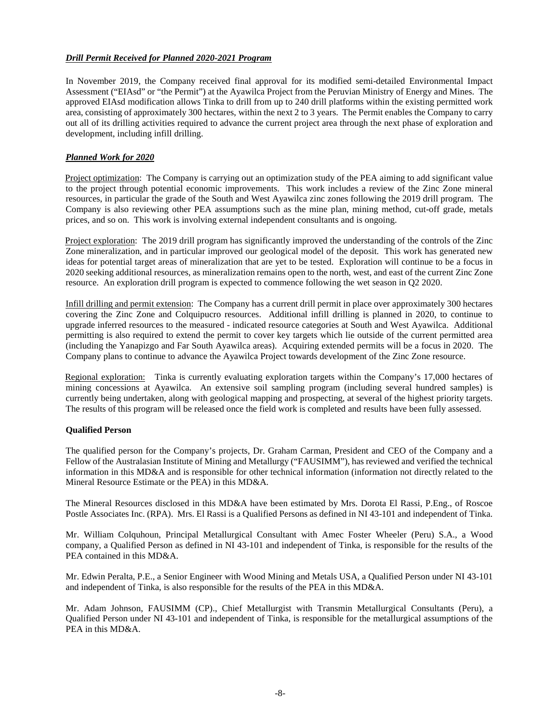## *Drill Permit Received for Planned 2020-2021 Program*

In November 2019, the Company received final approval for its modified semi-detailed Environmental Impact Assessment ("EIAsd" or "the Permit") at the Ayawilca Project from the Peruvian Ministry of Energy and Mines. The approved EIAsd modification allows Tinka to drill from up to 240 drill platforms within the existing permitted work area, consisting of approximately 300 hectares, within the next 2 to 3 years. The Permit enables the Company to carry out all of its drilling activities required to advance the current project area through the next phase of exploration and development, including infill drilling.

## *Planned Work for 2020*

Project optimization: The Company is carrying out an optimization study of the PEA aiming to add significant value to the project through potential economic improvements. This work includes a review of the Zinc Zone mineral resources, in particular the grade of the South and West Ayawilca zinc zones following the 2019 drill program. The Company is also reviewing other PEA assumptions such as the mine plan, mining method, cut-off grade, metals prices, and so on. This work is involving external independent consultants and is ongoing.

Project exploration: The 2019 drill program has significantly improved the understanding of the controls of the Zinc Zone mineralization, and in particular improved our geological model of the deposit. This work has generated new ideas for potential target areas of mineralization that are yet to be tested. Exploration will continue to be a focus in 2020 seeking additional resources, as mineralization remains open to the north, west, and east of the current Zinc Zone resource. An exploration drill program is expected to commence following the wet season in Q2 2020.

Infill drilling and permit extension: The Company has a current drill permit in place over approximately 300 hectares covering the Zinc Zone and Colquipucro resources. Additional infill drilling is planned in 2020, to continue to upgrade inferred resources to the measured - indicated resource categories at South and West Ayawilca. Additional permitting is also required to extend the permit to cover key targets which lie outside of the current permitted area (including the Yanapizgo and Far South Ayawilca areas). Acquiring extended permits will be a focus in 2020. The Company plans to continue to advance the Ayawilca Project towards development of the Zinc Zone resource.

Regional exploration: Tinka is currently evaluating exploration targets within the Company's 17,000 hectares of mining concessions at Ayawilca. An extensive soil sampling program (including several hundred samples) is currently being undertaken, along with geological mapping and prospecting, at several of the highest priority targets. The results of this program will be released once the field work is completed and results have been fully assessed.

## **Qualified Person**

The qualified person for the Company's projects, Dr. Graham Carman, President and CEO of the Company and a Fellow of the Australasian Institute of Mining and Metallurgy ("FAUSIMM"), has reviewed and verified the technical information in this MD&A and is responsible for other technical information (information not directly related to the Mineral Resource Estimate or the PEA) in this MD&A.

The Mineral Resources disclosed in this MD&A have been estimated by Mrs. Dorota El Rassi, P.Eng., of Roscoe Postle Associates Inc. (RPA). Mrs. El Rassi is a Qualified Persons as defined in NI 43-101 and independent of Tinka.

Mr. William Colquhoun, Principal Metallurgical Consultant with Amec Foster Wheeler (Peru) S.A., a Wood company, a Qualified Person as defined in NI 43-101 and independent of Tinka, is responsible for the results of the PEA contained in this MD&A.

Mr. Edwin Peralta, P.E., a Senior Engineer with Wood Mining and Metals USA, a Qualified Person under NI 43-101 and independent of Tinka, is also responsible for the results of the PEA in this MD&A.

Mr. Adam Johnson, FAUSIMM (CP)., Chief Metallurgist with Transmin Metallurgical Consultants (Peru), a Qualified Person under NI 43-101 and independent of Tinka, is responsible for the metallurgical assumptions of the PEA in this MD&A.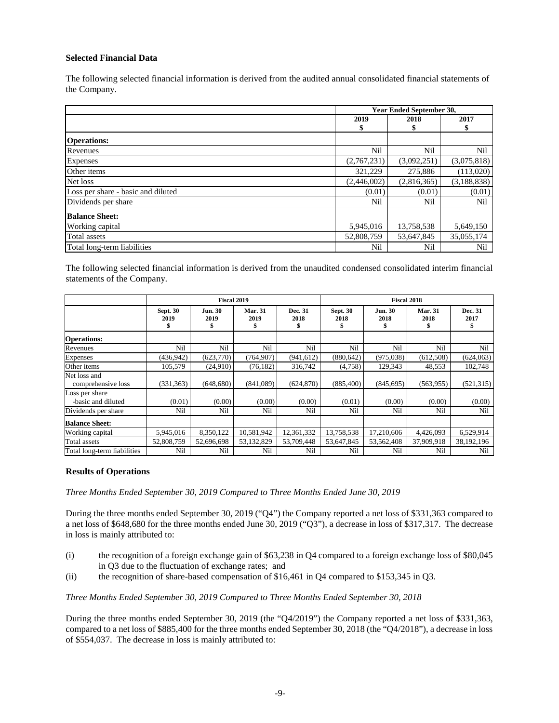## **Selected Financial Data**

The following selected financial information is derived from the audited annual consolidated financial statements of the Company.

|                                    | <b>Year Ended September 30,</b><br>2019<br>2018<br>Nil<br>Nil<br>(3,092,251)<br>(2,767,231)<br>321,229<br>275,886<br>(2,816,365)<br>(2,446,002)<br>(0.01)<br>(0.01)<br>Nil<br>Nil<br>5,945,016<br>13,758,538<br>52,808,759<br>53,647,845<br>Nil<br>Nil |  |               |
|------------------------------------|--------------------------------------------------------------------------------------------------------------------------------------------------------------------------------------------------------------------------------------------------------|--|---------------|
|                                    |                                                                                                                                                                                                                                                        |  | 2017          |
|                                    |                                                                                                                                                                                                                                                        |  |               |
| <b>Operations:</b>                 |                                                                                                                                                                                                                                                        |  |               |
| Revenues                           |                                                                                                                                                                                                                                                        |  | Nil           |
| Expenses                           |                                                                                                                                                                                                                                                        |  | (3,075,818)   |
| Other items                        |                                                                                                                                                                                                                                                        |  | (113,020)     |
| Net loss                           |                                                                                                                                                                                                                                                        |  | (3, 188, 838) |
| Loss per share - basic and diluted |                                                                                                                                                                                                                                                        |  | (0.01)        |
| Dividends per share                |                                                                                                                                                                                                                                                        |  | Nil           |
| <b>Balance Sheet:</b>              |                                                                                                                                                                                                                                                        |  |               |
| Working capital                    |                                                                                                                                                                                                                                                        |  | 5,649,150     |
| Total assets                       |                                                                                                                                                                                                                                                        |  | 35,055,174    |
| Total long-term liabilities        |                                                                                                                                                                                                                                                        |  | Nil           |

The following selected financial information is derived from the unaudited condensed consolidated interim financial statements of the Company.

|                                      |                               | <b>Fiscal 2019</b>          |                              |                 | <b>Fiscal 2018</b>            |                        |                        |                 |  |
|--------------------------------------|-------------------------------|-----------------------------|------------------------------|-----------------|-------------------------------|------------------------|------------------------|-----------------|--|
|                                      | <b>Sept. 30</b><br>2019<br>\$ | <b>Jun. 30</b><br>2019<br>S | <b>Mar. 31</b><br>2019<br>\$ | Dec. 31<br>2018 | <b>Sept. 30</b><br>2018<br>\$ | <b>Jun. 30</b><br>2018 | <b>Mar. 31</b><br>2018 | Dec. 31<br>2017 |  |
| <b>Operations:</b>                   |                               |                             |                              |                 |                               |                        |                        |                 |  |
| Revenues                             | Nil                           | Nil                         | Nil                          | Nil             | Nil                           | Nil                    | Nil                    | Nil             |  |
| <b>Expenses</b>                      | (436, 942)                    | (623,770)                   | (764, 907)                   | (941, 612)      | (880.642)                     | (975, 038)             | (612, 508)             | (624,063)       |  |
| Other items                          | 105,579                       | (24,910)                    | (76, 182)                    | 316,742         | (4,758)                       | 129,343                | 48,553                 | 102,748         |  |
| Net loss and<br>comprehensive loss   | (331, 363)                    | (648, 680)                  | (841,089)                    | (624, 870)      | (885, 400)                    | (845, 695)             | (563, 955)             | (521, 315)      |  |
| Loss per share<br>-basic and diluted | (0.01)                        | (0.00)                      | (0.00)                       | (0.00)          | (0.01)                        | (0.00)                 | (0.00)                 | (0.00)          |  |
| Dividends per share                  | Nil                           | Nil                         | Nil                          | Nil             | Nil                           | Nil                    | Nil                    | Nil             |  |
| <b>Balance Sheet:</b>                |                               |                             |                              |                 |                               |                        |                        |                 |  |
| Working capital                      | 5,945,016                     | 8,350,122                   | 10,581,942                   | 12,361,332      | 13,758,538                    | 17,210,606             | 4,426,093              | 6,529,914       |  |
| Total assets                         | 52,808,759                    | 52,696,698                  | 53,132,829                   | 53,709,448      | 53,647,845                    | 53,562,408             | 37,909,918             | 38,192,196      |  |
| Total long-term liabilities          | Nil                           | Nil                         | Nil                          | Nil             | Nil                           | Nil                    | Nil                    | Nil             |  |

### **Results of Operations**

*Three Months Ended September 30, 2019 Compared to Three Months Ended June 30, 2019*

During the three months ended September 30, 2019 ("Q4") the Company reported a net loss of \$331,363 compared to a net loss of \$648,680 for the three months ended June 30, 2019 ("Q3"), a decrease in loss of \$317,317. The decrease in loss is mainly attributed to:

- (i) the recognition of a foreign exchange gain of \$63,238 in Q4 compared to a foreign exchange loss of \$80,045 in Q3 due to the fluctuation of exchange rates; and
- (ii) the recognition of share-based compensation of \$16,461 in Q4 compared to  $$153,345$  in Q3.

*Three Months Ended September 30, 2019 Compared to Three Months Ended September 30, 2018*

During the three months ended September 30, 2019 (the "Q4/2019") the Company reported a net loss of \$331,363, compared to a net loss of \$885,400 for the three months ended September 30, 2018 (the "Q4/2018"), a decrease in loss of \$554,037. The decrease in loss is mainly attributed to: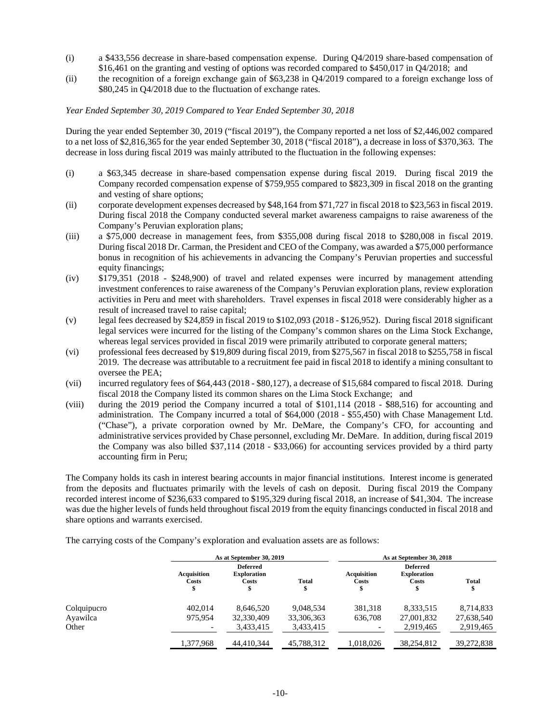- (i) a \$433,556 decrease in share-based compensation expense. During Q4/2019 share-based compensation of \$16,461 on the granting and vesting of options was recorded compared to \$450,017 in Q4/2018; and
- (ii) the recognition of a foreign exchange gain of \$63,238 in Q4/2019 compared to a foreign exchange loss of \$80,245 in Q4/2018 due to the fluctuation of exchange rates.

## *Year Ended September 30, 2019 Compared to Year Ended September 30, 2018*

During the year ended September 30, 2019 ("fiscal 2019"), the Company reported a net loss of \$2,446,002 compared to a net loss of \$2,816,365 for the year ended September 30, 2018 ("fiscal 2018"), a decrease in loss of \$370,363. The decrease in loss during fiscal 2019 was mainly attributed to the fluctuation in the following expenses:

- (i) a \$63,345 decrease in share-based compensation expense during fiscal 2019. During fiscal 2019 the Company recorded compensation expense of \$759,955 compared to \$823,309 in fiscal 2018 on the granting and vesting of share options;
- (ii) corporate development expenses decreased by \$48,164 from \$71,727 in fiscal 2018 to \$23,563 in fiscal 2019. During fiscal 2018 the Company conducted several market awareness campaigns to raise awareness of the Company's Peruvian exploration plans;
- (iii) a \$75,000 decrease in management fees, from \$355,008 during fiscal 2018 to \$280,008 in fiscal 2019. During fiscal 2018 Dr. Carman, the President and CEO of the Company, was awarded a \$75,000 performance bonus in recognition of his achievements in advancing the Company's Peruvian properties and successful equity financings;
- (iv) \$179,351 (2018 \$248,900) of travel and related expenses were incurred by management attending investment conferences to raise awareness of the Company's Peruvian exploration plans, review exploration activities in Peru and meet with shareholders. Travel expenses in fiscal 2018 were considerably higher as a result of increased travel to raise capital;
- (v) legal fees decreased by \$24,859 in fiscal 2019 to \$102,093 (2018 \$126,952). During fiscal 2018 significant legal services were incurred for the listing of the Company's common shares on the Lima Stock Exchange, whereas legal services provided in fiscal 2019 were primarily attributed to corporate general matters;
- (vi) professional fees decreased by \$19,809 during fiscal 2019, from \$275,567 in fiscal 2018 to \$255,758 in fiscal 2019. The decrease was attributable to a recruitment fee paid in fiscal 2018 to identify a mining consultant to oversee the PEA;
- (vii) incurred regulatory fees of \$64,443 (2018 \$80,127), a decrease of \$15,684 compared to fiscal 2018. During fiscal 2018 the Company listed its common shares on the Lima Stock Exchange; and
- (viii) during the 2019 period the Company incurred a total of \$101,114 (2018 \$88,516) for accounting and administration. The Company incurred a total of \$64,000 (2018 - \$55,450) with Chase Management Ltd. ("Chase"), a private corporation owned by Mr. DeMare, the Company's CFO, for accounting and administrative services provided by Chase personnel, excluding Mr. DeMare. In addition, during fiscal 2019 the Company was also billed \$37,114 (2018 - \$33,066) for accounting services provided by a third party accounting firm in Peru;

The Company holds its cash in interest bearing accounts in major financial institutions. Interest income is generated from the deposits and fluctuates primarily with the levels of cash on deposit. During fiscal 2019 the Company recorded interest income of \$236,633 compared to \$195,329 during fiscal 2018, an increase of \$41,304. The increase was due the higher levels of funds held throughout fiscal 2019 from the equity financings conducted in fiscal 2018 and share options and warrants exercised.

The carrying costs of the Company's exploration and evaluation assets are as follows:

|             |                             | As at September 30, 2019                            |              |                      | As at September 30, 2018                       |                    |  |
|-------------|-----------------------------|-----------------------------------------------------|--------------|----------------------|------------------------------------------------|--------------------|--|
|             | <b>Acquisition</b><br>Costs | <b>Deferred</b><br><b>Exploration</b><br>Costs<br>S | <b>Total</b> | Acquisition<br>Costs | <b>Deferred</b><br><b>Exploration</b><br>Costs | <b>Total</b><br>\$ |  |
| Colquipucro | 402,014                     | 8.646.520                                           | 9,048,534    | 381,318              | 8,333,515                                      | 8,714,833          |  |
| Ayawilca    | 975.954                     | 32,330,409                                          | 33,306,363   | 636.708              | 27,001,832                                     | 27,638,540         |  |
| Other       |                             | 3,433,415                                           | 3,433,415    |                      | 2.919.465                                      | 2,919,465          |  |
|             | 1,377,968                   | 44.410.344                                          | 45,788,312   | 1.018.026            | 38.254.812                                     | 39,272,838         |  |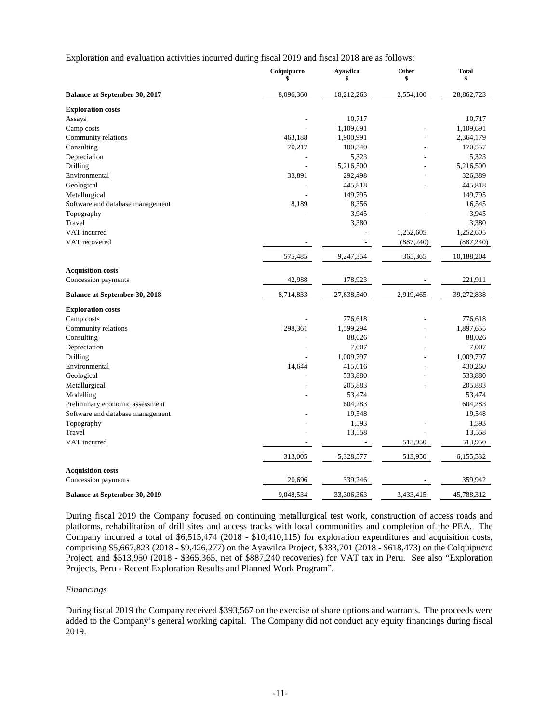Exploration and evaluation activities incurred during fiscal 2019 and fiscal 2018 are as follows:

|                                      | Colquipucro<br>\$ | Ayawilca<br>\$ | Other<br>\$ | Total<br>\$ |
|--------------------------------------|-------------------|----------------|-------------|-------------|
| <b>Balance at September 30, 2017</b> | 8,096,360         | 18,212,263     | 2,554,100   | 28,862,723  |
| <b>Exploration costs</b>             |                   |                |             |             |
| Assays                               |                   | 10,717         |             | 10,717      |
| Camp costs                           |                   | 1,109,691      |             | 1,109,691   |
| Community relations                  | 463,188           | 1,900,991      |             | 2,364,179   |
| Consulting                           | 70,217            | 100,340        |             | 170,557     |
| Depreciation                         |                   | 5,323          |             | 5,323       |
| Drilling                             |                   | 5,216,500      |             | 5,216,500   |
| Environmental                        | 33,891            | 292,498        |             | 326,389     |
| Geological                           |                   | 445,818        |             | 445,818     |
| Metallurgical                        |                   | 149,795        |             | 149,795     |
| Software and database management     | 8,189             | 8,356          |             | 16,545      |
| Topography                           |                   | 3,945          |             | 3,945       |
| Travel                               |                   | 3,380          |             | 3,380       |
| VAT incurred                         |                   |                | 1,252,605   | 1,252,605   |
| VAT recovered                        |                   |                | (887, 240)  | (887, 240)  |
|                                      | 575,485           | 9,247,354      | 365,365     | 10,188,204  |
| <b>Acquisition costs</b>             |                   |                |             |             |
| Concession payments                  | 42,988            | 178,923        |             | 221,911     |
| <b>Balance at September 30, 2018</b> | 8,714,833         | 27,638,540     | 2,919,465   | 39,272,838  |
| <b>Exploration costs</b>             |                   |                |             |             |
| Camp costs                           |                   | 776,618        |             | 776,618     |
| Community relations                  | 298,361           | 1,599,294      |             | 1,897,655   |
| Consulting                           |                   | 88,026         |             | 88,026      |
| Depreciation                         |                   | 7,007          |             | 7,007       |
| Drilling                             |                   | 1,009,797      |             | 1,009,797   |
| Environmental                        | 14,644            | 415,616        |             | 430,260     |
| Geological                           |                   | 533,880        |             | 533,880     |
| Metallurgical                        |                   | 205,883        |             | 205,883     |
| Modelling                            |                   | 53,474         |             | 53,474      |
| Preliminary economic assessment      |                   | 604,283        |             | 604,283     |
| Software and database management     |                   | 19,548         |             | 19,548      |
| Topography                           |                   | 1,593          |             | 1,593       |
| Travel                               |                   | 13,558         |             | 13,558      |
| VAT incurred                         |                   |                | 513,950     | 513,950     |
|                                      | 313,005           | 5,328,577      | 513,950     | 6,155,532   |
| <b>Acquisition costs</b>             |                   |                |             |             |
| Concession payments                  | 20,696            | 339,246        |             | 359,942     |
| <b>Balance at September 30, 2019</b> | 9,048,534         | 33,306,363     | 3,433,415   | 45,788,312  |

During fiscal 2019 the Company focused on continuing metallurgical test work, construction of access roads and platforms, rehabilitation of drill sites and access tracks with local communities and completion of the PEA. The Company incurred a total of \$6,515,474 (2018 - \$10,410,115) for exploration expenditures and acquisition costs, comprising \$5,667,823 (2018 - \$9,426,277) on the Ayawilca Project, \$333,701 (2018 - \$618,473) on the Colquipucro Project, and \$513,950 (2018 - \$365,365, net of \$887,240 recoveries) for VAT tax in Peru. See also "Exploration Projects, Peru - Recent Exploration Results and Planned Work Program".

#### *Financings*

During fiscal 2019 the Company received \$393,567 on the exercise of share options and warrants. The proceeds were added to the Company's general working capital. The Company did not conduct any equity financings during fiscal 2019.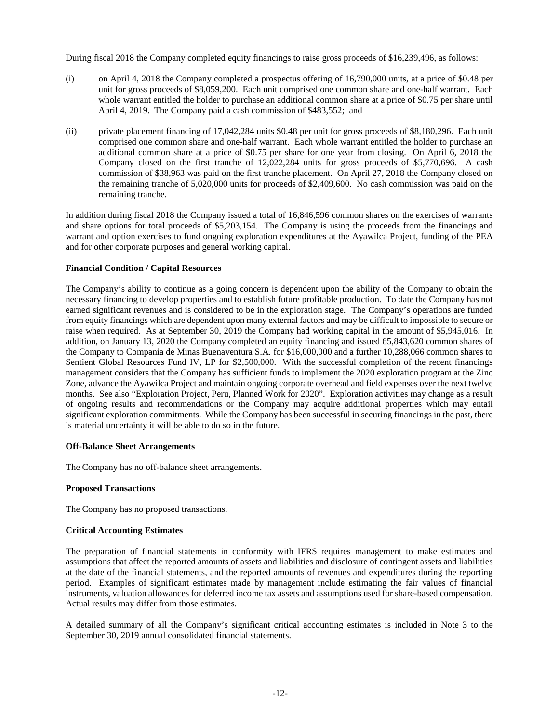During fiscal 2018 the Company completed equity financings to raise gross proceeds of \$16,239,496, as follows:

- (i) on April 4, 2018 the Company completed a prospectus offering of 16,790,000 units, at a price of \$0.48 per unit for gross proceeds of \$8,059,200. Each unit comprised one common share and one-half warrant. Each whole warrant entitled the holder to purchase an additional common share at a price of \$0.75 per share until April 4, 2019. The Company paid a cash commission of \$483,552; and
- (ii) private placement financing of 17,042,284 units \$0.48 per unit for gross proceeds of \$8,180,296. Each unit comprised one common share and one-half warrant. Each whole warrant entitled the holder to purchase an additional common share at a price of \$0.75 per share for one year from closing. On April 6, 2018 the Company closed on the first tranche of 12,022,284 units for gross proceeds of \$5,770,696. A cash commission of \$38,963 was paid on the first tranche placement. On April 27, 2018 the Company closed on the remaining tranche of 5,020,000 units for proceeds of \$2,409,600. No cash commission was paid on the remaining tranche.

In addition during fiscal 2018 the Company issued a total of 16,846,596 common shares on the exercises of warrants and share options for total proceeds of \$5,203,154. The Company is using the proceeds from the financings and warrant and option exercises to fund ongoing exploration expenditures at the Ayawilca Project, funding of the PEA and for other corporate purposes and general working capital.

## **Financial Condition / Capital Resources**

The Company's ability to continue as a going concern is dependent upon the ability of the Company to obtain the necessary financing to develop properties and to establish future profitable production. To date the Company has not earned significant revenues and is considered to be in the exploration stage. The Company's operations are funded from equity financings which are dependent upon many external factors and may be difficult to impossible to secure or raise when required. As at September 30, 2019 the Company had working capital in the amount of \$5,945,016. In addition, on January 13, 2020 the Company completed an equity financing and issued 65,843,620 common shares of the Company to Compania de Minas Buenaventura S.A. for \$16,000,000 and a further 10,288,066 common shares to Sentient Global Resources Fund IV, LP for \$2,500,000. With the successful completion of the recent financings management considers that the Company has sufficient funds to implement the 2020 exploration program at the Zinc Zone, advance the Ayawilca Project and maintain ongoing corporate overhead and field expenses over the next twelve months. See also "Exploration Project, Peru, Planned Work for 2020". Exploration activities may change as a result of ongoing results and recommendations or the Company may acquire additional properties which may entail significant exploration commitments. While the Company has been successful in securing financings in the past, there is material uncertainty it will be able to do so in the future.

#### **Off-Balance Sheet Arrangements**

The Company has no off-balance sheet arrangements.

#### **Proposed Transactions**

The Company has no proposed transactions.

## **Critical Accounting Estimates**

The preparation of financial statements in conformity with IFRS requires management to make estimates and assumptions that affect the reported amounts of assets and liabilities and disclosure of contingent assets and liabilities at the date of the financial statements, and the reported amounts of revenues and expenditures during the reporting period. Examples of significant estimates made by management include estimating the fair values of financial instruments, valuation allowances for deferred income tax assets and assumptions used for share-based compensation. Actual results may differ from those estimates.

A detailed summary of all the Company's significant critical accounting estimates is included in Note 3 to the September 30, 2019 annual consolidated financial statements.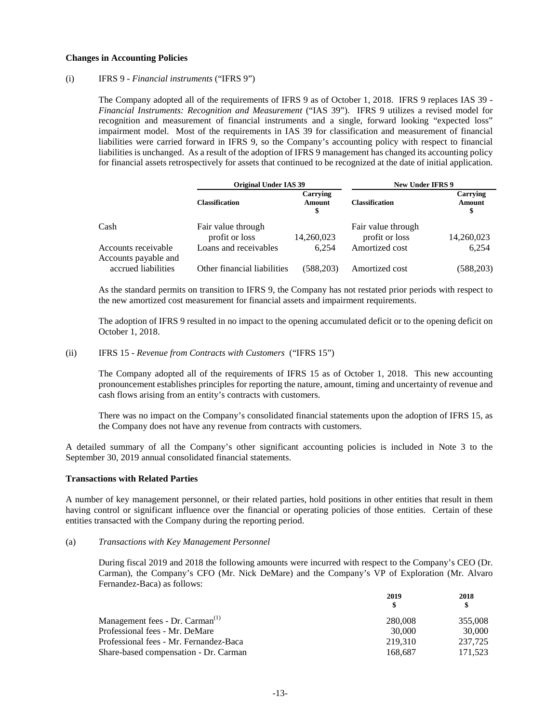#### **Changes in Accounting Policies**

#### (i) IFRS 9 - *Financial instruments* ("IFRS 9")

The Company adopted all of the requirements of IFRS 9 as of October 1, 2018. IFRS 9 replaces IAS 39 - *Financial Instruments: Recognition and Measurement* ("IAS 39"). IFRS 9 utilizes a revised model for recognition and measurement of financial instruments and a single, forward looking "expected loss" impairment model. Most of the requirements in IAS 39 for classification and measurement of financial liabilities were carried forward in IFRS 9, so the Company's accounting policy with respect to financial liabilities is unchanged. As a result of the adoption of IFRS 9 management has changed its accounting policy for financial assets retrospectively for assets that continued to be recognized at the date of initial application.

|                                             | <b>Original Under IAS 39</b>         |                          | <b>New Under IFRS 9</b>              |                                 |
|---------------------------------------------|--------------------------------------|--------------------------|--------------------------------------|---------------------------------|
|                                             | <b>Classification</b>                | Carrying<br>Amount<br>\$ | <b>Classification</b>                | Carrying<br><b>Amount</b><br>\$ |
| Cash                                        | Fair value through<br>profit or loss | 14,260,023               | Fair value through<br>profit or loss | 14,260,023                      |
| Accounts receivable<br>Accounts payable and | Loans and receivables                | 6.254                    | Amortized cost                       | 6,254                           |
| accrued liabilities                         | Other financial liabilities          | (588, 203)               | Amortized cost                       | (588, 203)                      |

As the standard permits on transition to IFRS 9, the Company has not restated prior periods with respect to the new amortized cost measurement for financial assets and impairment requirements.

The adoption of IFRS 9 resulted in no impact to the opening accumulated deficit or to the opening deficit on October 1, 2018.

## (ii) IFRS 15 - *Revenue from Contracts with Customers* ("IFRS 15")

The Company adopted all of the requirements of IFRS 15 as of October 1, 2018. This new accounting pronouncement establishes principles for reporting the nature, amount, timing and uncertainty of revenue and cash flows arising from an entity's contracts with customers.

There was no impact on the Company's consolidated financial statements upon the adoption of IFRS 15, as the Company does not have any revenue from contracts with customers.

A detailed summary of all the Company's other significant accounting policies is included in Note 3 to the September 30, 2019 annual consolidated financial statements.

#### **Transactions with Related Parties**

A number of key management personnel, or their related parties, hold positions in other entities that result in them having control or significant influence over the financial or operating policies of those entities. Certain of these entities transacted with the Company during the reporting period.

#### (a) *Transactions with Key Management Personnel*

During fiscal 2019 and 2018 the following amounts were incurred with respect to the Company's CEO (Dr. Carman), the Company's CFO (Mr. Nick DeMare) and the Company's VP of Exploration (Mr. Alvaro Fernandez-Baca) as follows:

|                                             | 2019    | 2018<br>S |
|---------------------------------------------|---------|-----------|
|                                             |         |           |
| Management fees - Dr. Carman <sup>(1)</sup> | 280,008 | 355,008   |
| Professional fees - Mr. DeMare              | 30,000  | 30,000    |
| Professional fees - Mr. Fernandez-Baca      | 219.310 | 237,725   |
| Share-based compensation - Dr. Carman       | 168.687 | 171,523   |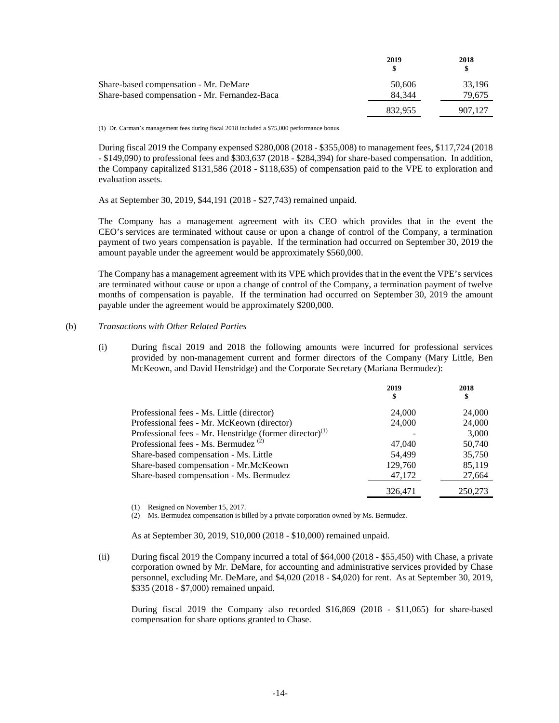|                                               | 2019    | 2018<br>S |
|-----------------------------------------------|---------|-----------|
| Share-based compensation - Mr. DeMare         | 50.606  | 33.196    |
| Share-based compensation - Mr. Fernandez-Baca | 84.344  | 79.675    |
|                                               | 832.955 | 907.127   |

(1) Dr. Carman's management fees during fiscal 2018 included a \$75,000 performance bonus.

During fiscal 2019 the Company expensed \$280,008 (2018 - \$355,008) to management fees, \$117,724 (2018 - \$149,090) to professional fees and \$303,637 (2018 - \$284,394) for share-based compensation. In addition, the Company capitalized \$131,586 (2018 - \$118,635) of compensation paid to the VPE to exploration and evaluation assets.

As at September 30, 2019, \$44,191 (2018 - \$27,743) remained unpaid.

The Company has a management agreement with its CEO which provides that in the event the CEO's services are terminated without cause or upon a change of control of the Company, a termination payment of two years compensation is payable. If the termination had occurred on September 30, 2019 the amount payable under the agreement would be approximately \$560,000.

The Company has a management agreement with its VPE which provides that in the event the VPE's services are terminated without cause or upon a change of control of the Company, a termination payment of twelve months of compensation is payable. If the termination had occurred on September 30, 2019 the amount payable under the agreement would be approximately \$200,000.

#### (b) *Transactions with Other Related Parties*

(i) During fiscal 2019 and 2018 the following amounts were incurred for professional services provided by non-management current and former directors of the Company (Mary Little, Ben McKeown, and David Henstridge) and the Corporate Secretary (Mariana Bermudez):

|                                                                     | 2019<br>\$ | 2018<br>\$ |
|---------------------------------------------------------------------|------------|------------|
| Professional fees - Ms. Little (director)                           | 24,000     | 24,000     |
| Professional fees - Mr. McKeown (director)                          | 24,000     | 24,000     |
| Professional fees - Mr. Henstridge (former director) <sup>(1)</sup> |            | 3,000      |
| Professional fees - Ms. Bermudez <sup>(2)</sup>                     | 47,040     | 50,740     |
| Share-based compensation - Ms. Little                               | 54.499     | 35,750     |
| Share-based compensation - Mr.McKeown                               | 129,760    | 85,119     |
| Share-based compensation - Ms. Bermudez                             | 47,172     | 27,664     |
|                                                                     | 326,471    | 250,273    |

(1) Resigned on November 15, 2017.

(2) Ms. Bermudez compensation is billed by a private corporation owned by Ms. Bermudez.

As at September 30, 2019, \$10,000 (2018 - \$10,000) remained unpaid.

(ii) During fiscal 2019 the Company incurred a total of \$64,000 (2018 - \$55,450) with Chase, a private corporation owned by Mr. DeMare, for accounting and administrative services provided by Chase personnel, excluding Mr. DeMare, and \$4,020 (2018 - \$4,020) for rent. As at September 30, 2019, \$335 (2018 - \$7,000) remained unpaid.

During fiscal 2019 the Company also recorded \$16,869 (2018 - \$11,065) for share-based compensation for share options granted to Chase.